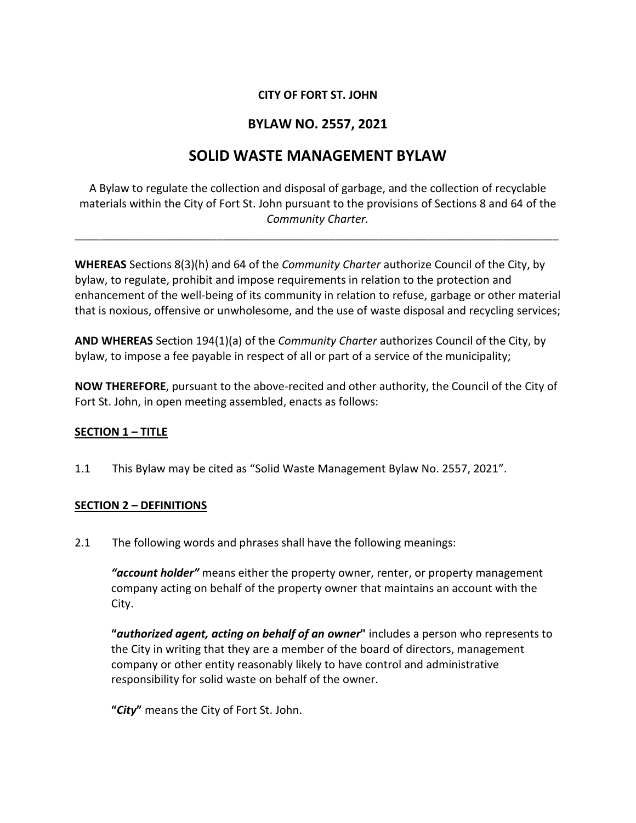## **CITY OF FORT ST. JOHN**

# **BYLAW NO. 2557, 2021**

# **SOLID WASTE MANAGEMENT BYLAW**

A Bylaw to regulate the collection and disposal of garbage, and the collection of recyclable materials within the City of Fort St. John pursuant to the provisions of Sections 8 and 64 of the *Community Charter.*

\_\_\_\_\_\_\_\_\_\_\_\_\_\_\_\_\_\_\_\_\_\_\_\_\_\_\_\_\_\_\_\_\_\_\_\_\_\_\_\_\_\_\_\_\_\_\_\_\_\_\_\_\_\_\_\_\_\_\_\_\_\_\_\_\_\_\_\_\_\_\_\_\_\_\_\_\_\_

**WHEREAS** Sections 8(3)(h) and 64 of the *Community Charter* authorize Council of the City, by bylaw, to regulate, prohibit and impose requirements in relation to the protection and enhancement of the well-being of its community in relation to refuse, garbage or other material that is noxious, offensive or unwholesome, and the use of waste disposal and recycling services;

**AND WHEREAS** Section 194(1)(a) of the *Community Charter* authorizes Council of the City, by bylaw, to impose a fee payable in respect of all or part of a service of the municipality;

**NOW THEREFORE**, pursuant to the above-recited and other authority, the Council of the City of Fort St. John, in open meeting assembled, enacts as follows:

## **SECTION 1 – TITLE**

1.1 This Bylaw may be cited as "Solid Waste Management Bylaw No. 2557, 2021".

## **SECTION 2 – DEFINITIONS**

2.1 The following words and phrases shall have the following meanings:

*"account holder"* means either the property owner, renter, or property management company acting on behalf of the property owner that maintains an account with the City.

**"***authorized agent, acting on behalf of an owner***"** includes a person who represents to the City in writing that they are a member of the board of directors, management company or other entity reasonably likely to have control and administrative responsibility for solid waste on behalf of the owner.

**"***City***"** means the City of Fort St. John.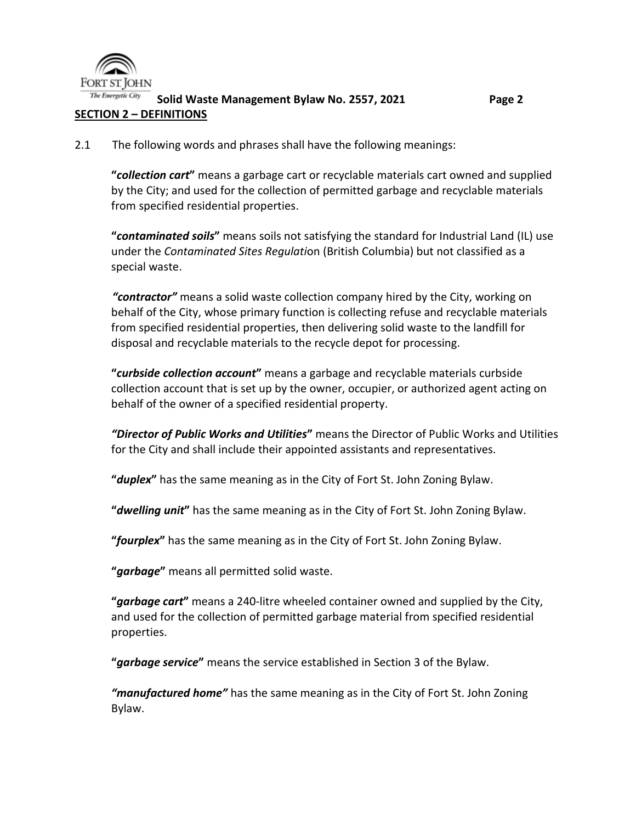

The Energetic City **Solid Waste Management Bylaw No. 2557, 2021 Page 2 SECTION 2 – DEFINITIONS**

2.1 The following words and phrases shall have the following meanings:

**"***collection cart***"** means a garbage cart or recyclable materials cart owned and supplied by the City; and used for the collection of permitted garbage and recyclable materials from specified residential properties.

**"***contaminated soils***"** means soils not satisfying the standard for Industrial Land (IL) use under the *Contaminated Sites Regulati*on (British Columbia) but not classified as a special waste.

*"contractor"* means a solid waste collection company hired by the City, working on behalf of the City, whose primary function is collecting refuse and recyclable materials from specified residential properties, then delivering solid waste to the landfill for disposal and recyclable materials to the recycle depot for processing.

**"***curbside collection account***"** means a garbage and recyclable materials curbside collection account that is set up by the owner, occupier, or authorized agent acting on behalf of the owner of a specified residential property.

*"Director of Public Works and Utilities***"** means the Director of Public Works and Utilities for the City and shall include their appointed assistants and representatives.

**"***duplex***"** has the same meaning as in the City of Fort St. John Zoning Bylaw.

**"***dwelling unit***"** has the same meaning as in the City of Fort St. John Zoning Bylaw.

**"***fourplex***"** has the same meaning as in the City of Fort St. John Zoning Bylaw.

**"***garbage***"** means all permitted solid waste.

**"***garbage cart***"** means a 240-litre wheeled container owned and supplied by the City, and used for the collection of permitted garbage material from specified residential properties.

**"***garbage service***"** means the service established in Section 3 of the Bylaw.

*"manufactured home"* has the same meaning as in the City of Fort St. John Zoning Bylaw.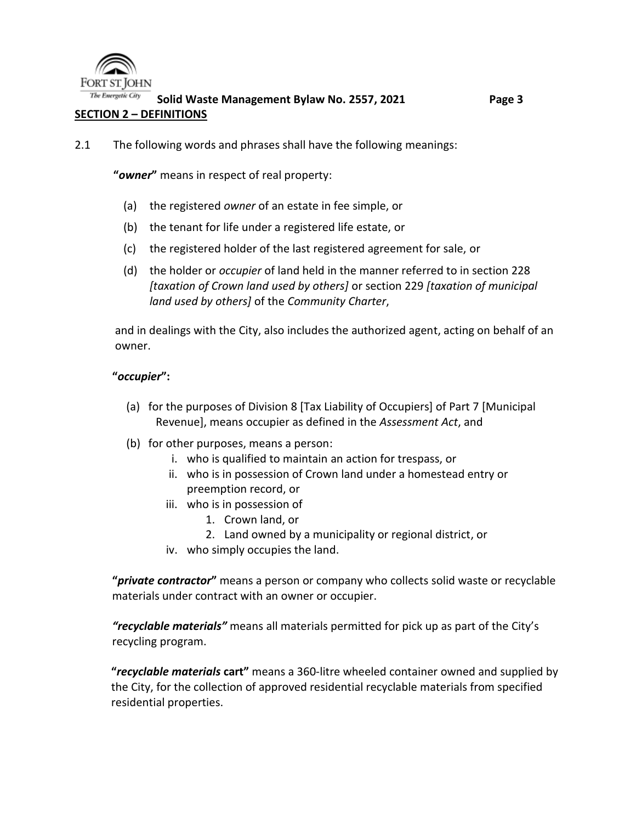

The Energetic City **Solid Waste Management Bylaw No. 2557, 2021 Page 3 SECTION 2 – DEFINITIONS**

2.1 The following words and phrases shall have the following meanings:

**"***owner***"** means in respect of real property:

- (a) the registered *owner* of an estate in fee simple, or
- (b) the tenant for life under a registered life estate, or
- (c) the registered holder of the last registered agreement for sale, or
- (d) the holder or *occupier* of land held in the manner referred to in section 228 *[taxation of Crown land used by others]* or section 229 *[taxation of municipal land used by others]* of the *Community Charter*,

and in dealings with the City, also includes the authorized agent, acting on behalf of an owner.

#### **"***occupier***":**

- (a) for the purposes of Division 8 [Tax Liability of Occupiers] of Part 7 [Municipal Revenue], means occupier as defined in the *Assessment Act*, and
- (b) for other purposes, means a person:
	- i. who is qualified to maintain an action for trespass, or
	- ii. who is in possession of Crown land under a homestead entry or preemption record, or
	- iii. who is in possession of
		- 1. Crown land, or
		- 2. Land owned by a municipality or regional district, or
	- iv. who simply occupies the land.

**"***private contractor***"** means a person or company who collects solid waste or recyclable materials under contract with an owner or occupier.

*"recyclable materials"* means all materials permitted for pick up as part of the City's recycling program.

**"***recyclable materials* **cart"** means a 360-litre wheeled container owned and supplied by the City, for the collection of approved residential recyclable materials from specified residential properties.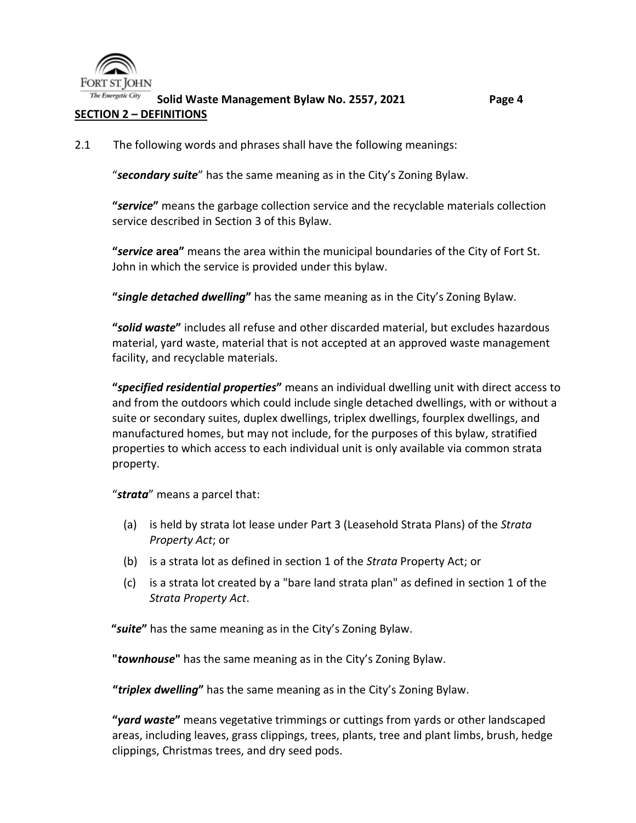

#### The Energetic City **Solid Waste Management Bylaw No. 2557, 2021 Page 4 SECTION 2 – DEFINITIONS**

#### 2.1 The following words and phrases shall have the following meanings:

"*secondary suite*" has the same meaning as in the City's Zoning Bylaw.

**"***service***"** means the garbage collection service and the recyclable materials collection service described in Section 3 of this Bylaw.

**"***service* **area"** means the area within the municipal boundaries of the City of Fort St. John in which the service is provided under this bylaw.

**"***single detached dwelling***"** has the same meaning as in the City's Zoning Bylaw.

**"***solid waste***"** includes all refuse and other discarded material, but excludes hazardous material, yard waste, material that is not accepted at an approved waste management facility, and recyclable materials.

**"***specified residential properties***"** means an individual dwelling unit with direct access to and from the outdoors which could include single detached dwellings, with or without a suite or secondary suites, duplex dwellings, triplex dwellings, fourplex dwellings, and manufactured homes, but may not include, for the purposes of this bylaw, stratified properties to which access to each individual unit is only available via common strata property.

"*strata*" means a parcel that:

- (a) is held by strata lot lease under Part 3 (Leasehold Strata Plans) of the *Strata Property Act*; or
- (b) is a strata lot as defined in section 1 of the *Strata* Property Act; or
- (c) is a strata lot created by a "bare land strata plan" as defined in section 1 of the *Strata Property Act*.

**"***suite***"** has the same meaning as in the City's Zoning Bylaw.

**"***townhouse***"** has the same meaning as in the City's Zoning Bylaw.

**"***triplex dwelling***"** has the same meaning as in the City's Zoning Bylaw.

**"***yard waste***"** means vegetative trimmings or cuttings from yards or other landscaped areas, including leaves, grass clippings, trees, plants, tree and plant limbs, brush, hedge clippings, Christmas trees, and dry seed pods.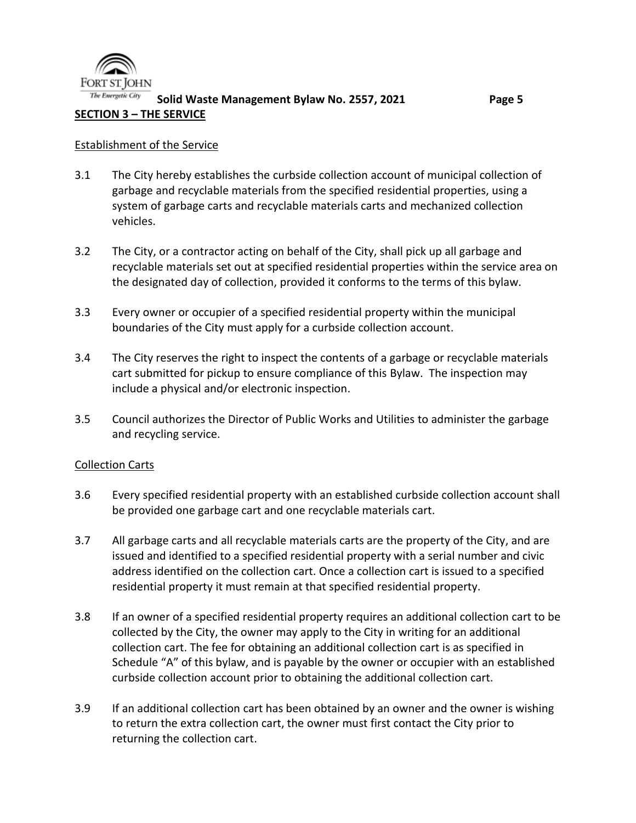

#### Establishment of the Service

- 3.1 The City hereby establishes the curbside collection account of municipal collection of garbage and recyclable materials from the specified residential properties, using a system of garbage carts and recyclable materials carts and mechanized collection vehicles.
- 3.2 The City, or a contractor acting on behalf of the City, shall pick up all garbage and recyclable materials set out at specified residential properties within the service area on the designated day of collection, provided it conforms to the terms of this bylaw.
- 3.3 Every owner or occupier of a specified residential property within the municipal boundaries of the City must apply for a curbside collection account.
- 3.4 The City reserves the right to inspect the contents of a garbage or recyclable materials cart submitted for pickup to ensure compliance of this Bylaw. The inspection may include a physical and/or electronic inspection.
- 3.5 Council authorizes the Director of Public Works and Utilities to administer the garbage and recycling service.

#### Collection Carts

- 3.6 Every specified residential property with an established curbside collection account shall be provided one garbage cart and one recyclable materials cart.
- 3.7 All garbage carts and all recyclable materials carts are the property of the City, and are issued and identified to a specified residential property with a serial number and civic address identified on the collection cart. Once a collection cart is issued to a specified residential property it must remain at that specified residential property.
- 3.8 If an owner of a specified residential property requires an additional collection cart to be collected by the City, the owner may apply to the City in writing for an additional collection cart. The fee for obtaining an additional collection cart is as specified in Schedule "A" of this bylaw, and is payable by the owner or occupier with an established curbside collection account prior to obtaining the additional collection cart.
- 3.9 If an additional collection cart has been obtained by an owner and the owner is wishing to return the extra collection cart, the owner must first contact the City prior to returning the collection cart.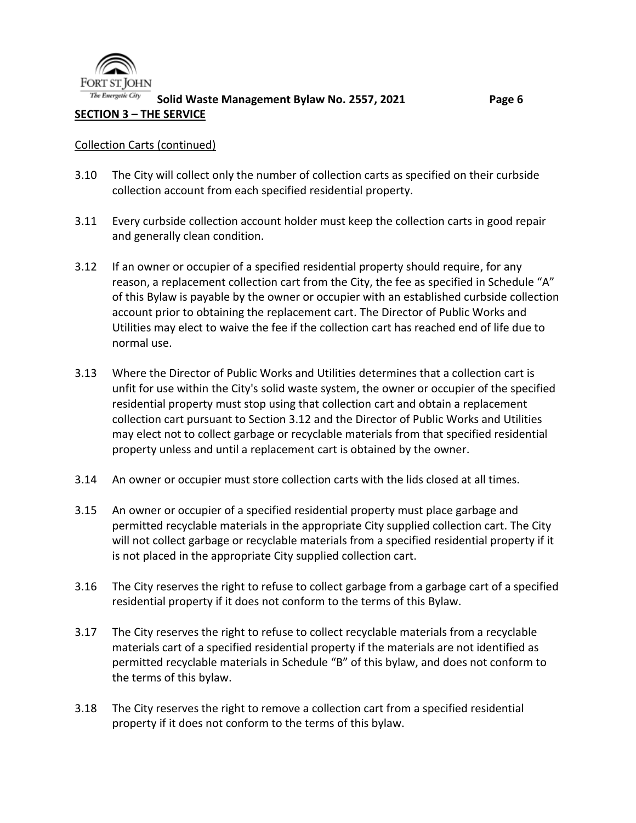

## Collection Carts (continued)

- 3.10 The City will collect only the number of collection carts as specified on their curbside collection account from each specified residential property.
- 3.11 Every curbside collection account holder must keep the collection carts in good repair and generally clean condition.
- 3.12 If an owner or occupier of a specified residential property should require, for any reason, a replacement collection cart from the City, the fee as specified in Schedule "A" of this Bylaw is payable by the owner or occupier with an established curbside collection account prior to obtaining the replacement cart. The Director of Public Works and Utilities may elect to waive the fee if the collection cart has reached end of life due to normal use.
- 3.13 Where the Director of Public Works and Utilities determines that a collection cart is unfit for use within the City's solid waste system, the owner or occupier of the specified residential property must stop using that collection cart and obtain a replacement collection cart pursuant to Section 3.12 and the Director of Public Works and Utilities may elect not to collect garbage or recyclable materials from that specified residential property unless and until a replacement cart is obtained by the owner.
- 3.14 An owner or occupier must store collection carts with the lids closed at all times.
- 3.15 An owner or occupier of a specified residential property must place garbage and permitted recyclable materials in the appropriate City supplied collection cart. The City will not collect garbage or recyclable materials from a specified residential property if it is not placed in the appropriate City supplied collection cart.
- 3.16 The City reserves the right to refuse to collect garbage from a garbage cart of a specified residential property if it does not conform to the terms of this Bylaw.
- 3.17 The City reserves the right to refuse to collect recyclable materials from a recyclable materials cart of a specified residential property if the materials are not identified as permitted recyclable materials in Schedule "B" of this bylaw, and does not conform to the terms of this bylaw.
- 3.18 The City reserves the right to remove a collection cart from a specified residential property if it does not conform to the terms of this bylaw.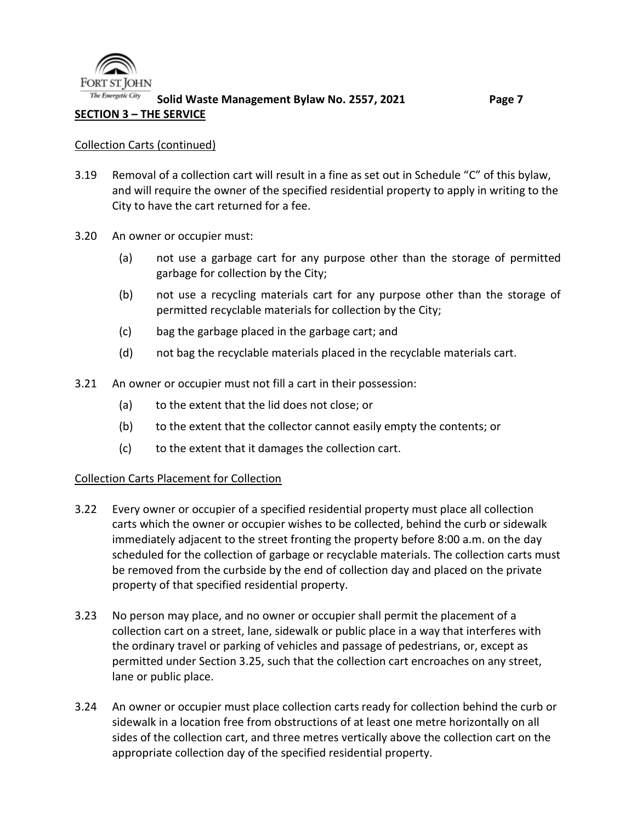

## **SECTION 3 – THE SERVICE**

#### Collection Carts (continued)

- 3.19 Removal of a collection cart will result in a fine as set out in Schedule "C" of this bylaw, and will require the owner of the specified residential property to apply in writing to the City to have the cart returned for a fee.
- 3.20 An owner or occupier must:
	- (a) not use a garbage cart for any purpose other than the storage of permitted garbage for collection by the City;
	- (b) not use a recycling materials cart for any purpose other than the storage of permitted recyclable materials for collection by the City;
	- (c) bag the garbage placed in the garbage cart; and
	- (d) not bag the recyclable materials placed in the recyclable materials cart.
- 3.21 An owner or occupier must not fill a cart in their possession:
	- (a) to the extent that the lid does not close; or
	- (b) to the extent that the collector cannot easily empty the contents; or
	- (c) to the extent that it damages the collection cart.

## Collection Carts Placement for Collection

- 3.22 Every owner or occupier of a specified residential property must place all collection carts which the owner or occupier wishes to be collected, behind the curb or sidewalk immediately adjacent to the street fronting the property before 8:00 a.m. on the day scheduled for the collection of garbage or recyclable materials. The collection carts must be removed from the curbside by the end of collection day and placed on the private property of that specified residential property.
- 3.23 No person may place, and no owner or occupier shall permit the placement of a collection cart on a street, lane, sidewalk or public place in a way that interferes with the ordinary travel or parking of vehicles and passage of pedestrians, or, except as permitted under Section 3.25, such that the collection cart encroaches on any street, lane or public place.
- 3.24 An owner or occupier must place collection carts ready for collection behind the curb or sidewalk in a location free from obstructions of at least one metre horizontally on all sides of the collection cart, and three metres vertically above the collection cart on the appropriate collection day of the specified residential property.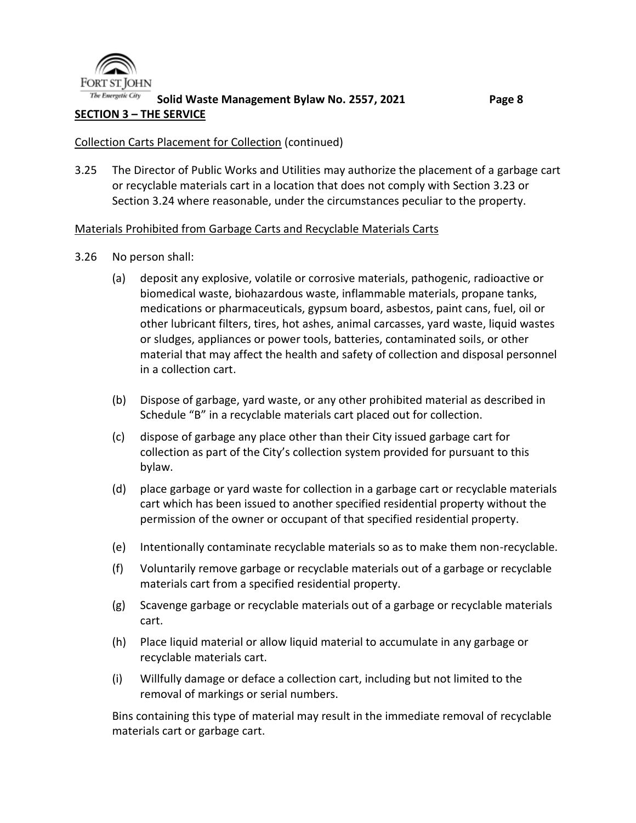

#### **Solid Waste Management Bylaw No. 2557, 2021 Page 8 SECTION 3 – THE SERVICE**

#### Collection Carts Placement for Collection (continued)

3.25 The Director of Public Works and Utilities may authorize the placement of a garbage cart or recyclable materials cart in a location that does not comply with Section 3.23 or Section 3.24 where reasonable, under the circumstances peculiar to the property.

#### Materials Prohibited from Garbage Carts and Recyclable Materials Carts

- 3.26 No person shall:
	- (a) deposit any explosive, volatile or corrosive materials, pathogenic, radioactive or biomedical waste, biohazardous waste, inflammable materials, propane tanks, medications or pharmaceuticals, gypsum board, asbestos, paint cans, fuel, oil or other lubricant filters, tires, hot ashes, animal carcasses, yard waste, liquid wastes or sludges, appliances or power tools, batteries, contaminated soils, or other material that may affect the health and safety of collection and disposal personnel in a collection cart.
	- (b) Dispose of garbage, yard waste, or any other prohibited material as described in Schedule "B" in a recyclable materials cart placed out for collection.
	- (c) dispose of garbage any place other than their City issued garbage cart for collection as part of the City's collection system provided for pursuant to this bylaw.
	- (d) place garbage or yard waste for collection in a garbage cart or recyclable materials cart which has been issued to another specified residential property without the permission of the owner or occupant of that specified residential property.
	- (e) Intentionally contaminate recyclable materials so as to make them non-recyclable.
	- (f) Voluntarily remove garbage or recyclable materials out of a garbage or recyclable materials cart from a specified residential property.
	- (g) Scavenge garbage or recyclable materials out of a garbage or recyclable materials cart.
	- (h) Place liquid material or allow liquid material to accumulate in any garbage or recyclable materials cart.
	- (i) Willfully damage or deface a collection cart, including but not limited to the removal of markings or serial numbers.

Bins containing this type of material may result in the immediate removal of recyclable materials cart or garbage cart.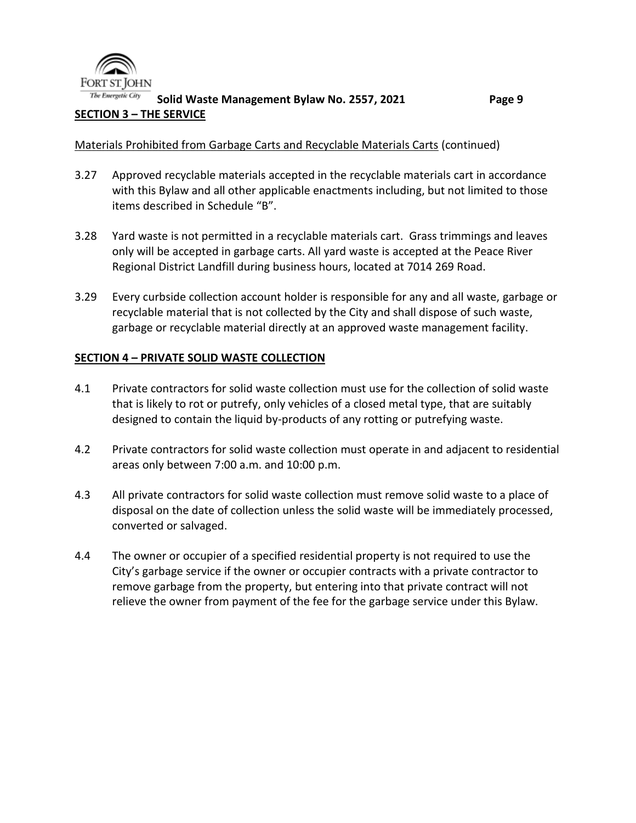

#### The Energetic City **Solid Waste Management Bylaw No. 2557, 2021 Page 9 SECTION 3 – THE SERVICE**

#### Materials Prohibited from Garbage Carts and Recyclable Materials Carts (continued)

- 3.27 Approved recyclable materials accepted in the recyclable materials cart in accordance with this Bylaw and all other applicable enactments including, but not limited to those items described in Schedule "B".
- 3.28 Yard waste is not permitted in a recyclable materials cart. Grass trimmings and leaves only will be accepted in garbage carts. All yard waste is accepted at the Peace River Regional District Landfill during business hours, located at 7014 269 Road.
- 3.29 Every curbside collection account holder is responsible for any and all waste, garbage or recyclable material that is not collected by the City and shall dispose of such waste, garbage or recyclable material directly at an approved waste management facility.

#### **SECTION 4 – PRIVATE SOLID WASTE COLLECTION**

- 4.1 Private contractors for solid waste collection must use for the collection of solid waste that is likely to rot or putrefy, only vehicles of a closed metal type, that are suitably designed to contain the liquid by-products of any rotting or putrefying waste.
- 4.2 Private contractors for solid waste collection must operate in and adjacent to residential areas only between 7:00 a.m. and 10:00 p.m.
- 4.3 All private contractors for solid waste collection must remove solid waste to a place of disposal on the date of collection unless the solid waste will be immediately processed, converted or salvaged.
- 4.4 The owner or occupier of a specified residential property is not required to use the City's garbage service if the owner or occupier contracts with a private contractor to remove garbage from the property, but entering into that private contract will not relieve the owner from payment of the fee for the garbage service under this Bylaw.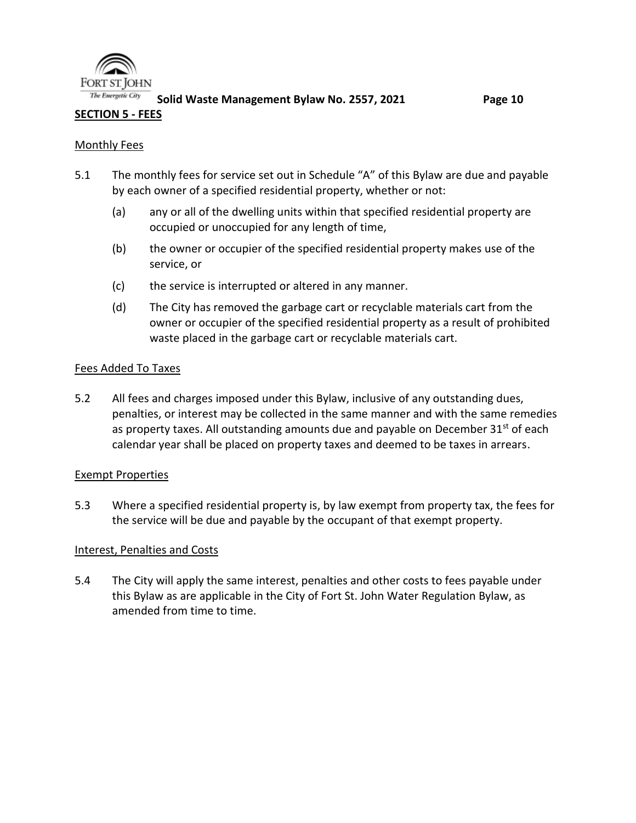

**Solid Waste Management Bylaw No. 2557, 2021 Page 10**

#### **SECTION 5 - FEES**

#### Monthly Fees

- 5.1 The monthly fees for service set out in Schedule "A" of this Bylaw are due and payable by each owner of a specified residential property, whether or not:
	- (a) any or all of the dwelling units within that specified residential property are occupied or unoccupied for any length of time,
	- (b) the owner or occupier of the specified residential property makes use of the service, or
	- (c) the service is interrupted or altered in any manner.
	- (d) The City has removed the garbage cart or recyclable materials cart from the owner or occupier of the specified residential property as a result of prohibited waste placed in the garbage cart or recyclable materials cart.

#### Fees Added To Taxes

5.2 All fees and charges imposed under this Bylaw, inclusive of any outstanding dues, penalties, or interest may be collected in the same manner and with the same remedies as property taxes. All outstanding amounts due and payable on December  $31<sup>st</sup>$  of each calendar year shall be placed on property taxes and deemed to be taxes in arrears.

#### Exempt Properties

5.3 Where a specified residential property is, by law exempt from property tax, the fees for the service will be due and payable by the occupant of that exempt property.

#### Interest, Penalties and Costs

5.4 The City will apply the same interest, penalties and other costs to fees payable under this Bylaw as are applicable in the City of Fort St. John Water Regulation Bylaw, as amended from time to time.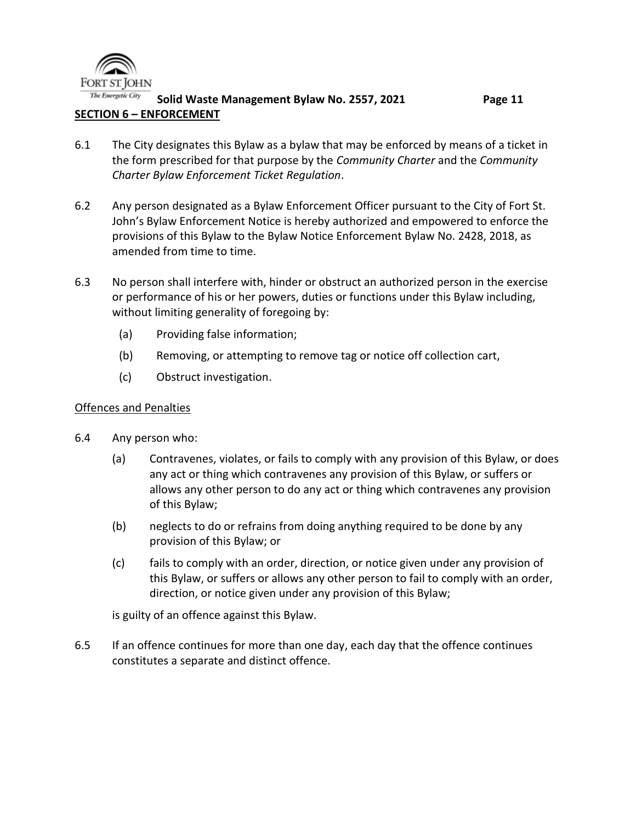

The Energetic City **Solid Waste Management Bylaw No. 2557, 2021 Page 11 SECTION 6 – ENFORCEMENT** 

- 6.1 The City designates this Bylaw as a bylaw that may be enforced by means of a ticket in the form prescribed for that purpose by the *Community Charter* and the *Community Charter Bylaw Enforcement Ticket Regulation*.
- 6.2 Any person designated as a Bylaw Enforcement Officer pursuant to the City of Fort St. John's Bylaw Enforcement Notice is hereby authorized and empowered to enforce the provisions of this Bylaw to the Bylaw Notice Enforcement Bylaw No. 2428, 2018, as amended from time to time.
- 6.3 No person shall interfere with, hinder or obstruct an authorized person in the exercise or performance of his or her powers, duties or functions under this Bylaw including, without limiting generality of foregoing by:
	- (a) Providing false information;
	- (b) Removing, or attempting to remove tag or notice off collection cart,
	- (c) Obstruct investigation.

#### Offences and Penalties

- 6.4 Any person who:
	- (a) Contravenes, violates, or fails to comply with any provision of this Bylaw, or does any act or thing which contravenes any provision of this Bylaw, or suffers or allows any other person to do any act or thing which contravenes any provision of this Bylaw;
	- (b) neglects to do or refrains from doing anything required to be done by any provision of this Bylaw; or
	- (c) fails to comply with an order, direction, or notice given under any provision of this Bylaw, or suffers or allows any other person to fail to comply with an order, direction, or notice given under any provision of this Bylaw;

is guilty of an offence against this Bylaw.

6.5 If an offence continues for more than one day, each day that the offence continues constitutes a separate and distinct offence.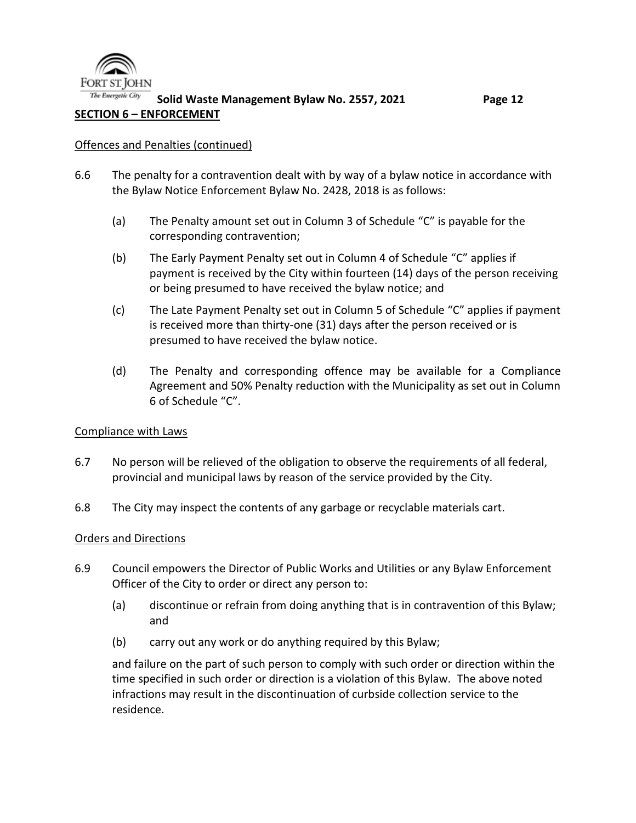

#### The Energetic City **Solid Waste Management Bylaw No. 2557, 2021 Page 12 SECTION 6 – ENFORCEMENT**

#### Offences and Penalties (continued)

- 6.6 The penalty for a contravention dealt with by way of a bylaw notice in accordance with the Bylaw Notice Enforcement Bylaw No. 2428, 2018 is as follows:
	- (a) The Penalty amount set out in Column 3 of Schedule "C" is payable for the corresponding contravention;
	- (b) The Early Payment Penalty set out in Column 4 of Schedule "C" applies if payment is received by the City within fourteen (14) days of the person receiving or being presumed to have received the bylaw notice; and
	- (c) The Late Payment Penalty set out in Column 5 of Schedule "C" applies if payment is received more than thirty-one (31) days after the person received or is presumed to have received the bylaw notice.
	- (d) The Penalty and corresponding offence may be available for a Compliance Agreement and 50% Penalty reduction with the Municipality as set out in Column 6 of Schedule "C".

#### Compliance with Laws

- 6.7 No person will be relieved of the obligation to observe the requirements of all federal, provincial and municipal laws by reason of the service provided by the City.
- 6.8 The City may inspect the contents of any garbage or recyclable materials cart.

#### Orders and Directions

- 6.9 Council empowers the Director of Public Works and Utilities or any Bylaw Enforcement Officer of the City to order or direct any person to:
	- (a) discontinue or refrain from doing anything that is in contravention of this Bylaw; and
	- (b) carry out any work or do anything required by this Bylaw;

and failure on the part of such person to comply with such order or direction within the time specified in such order or direction is a violation of this Bylaw. The above noted infractions may result in the discontinuation of curbside collection service to the residence.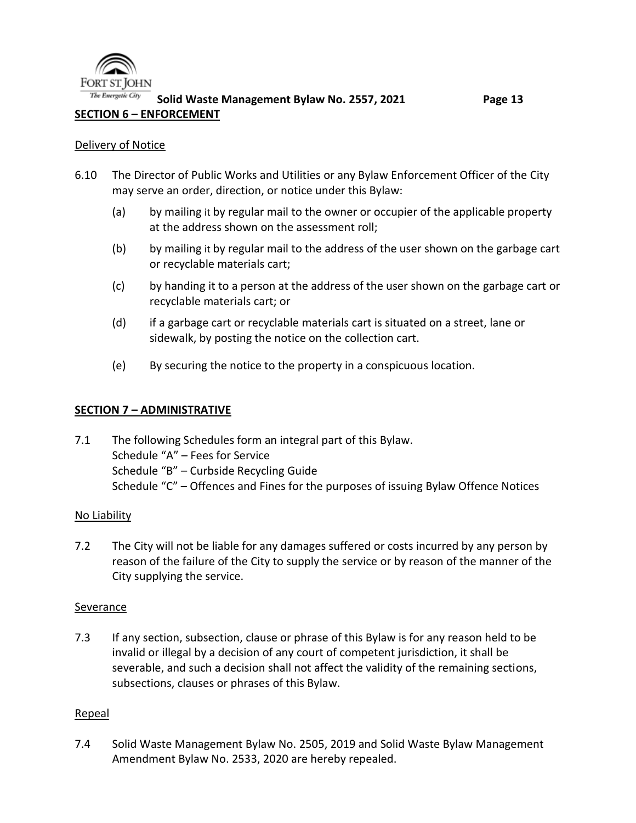

#### Delivery of Notice

- 6.10 The Director of Public Works and Utilities or any Bylaw Enforcement Officer of the City may serve an order, direction, or notice under this Bylaw:
	- (a) by mailing it by regular mail to the owner or occupier of the applicable property at the address shown on the assessment roll;
	- (b) by mailing it by regular mail to the address of the user shown on the garbage cart or recyclable materials cart;
	- (c) by handing it to a person at the address of the user shown on the garbage cart or recyclable materials cart; or
	- (d) if a garbage cart or recyclable materials cart is situated on a street, lane or sidewalk, by posting the notice on the collection cart.
	- (e) By securing the notice to the property in a conspicuous location.

#### **SECTION 7 – ADMINISTRATIVE**

7.1 The following Schedules form an integral part of this Bylaw. Schedule "A" – Fees for Service Schedule "B" – Curbside Recycling Guide Schedule "C" – Offences and Fines for the purposes of issuing Bylaw Offence Notices

#### No Liability

7.2 The City will not be liable for any damages suffered or costs incurred by any person by reason of the failure of the City to supply the service or by reason of the manner of the City supplying the service.

#### Severance

7.3 If any section, subsection, clause or phrase of this Bylaw is for any reason held to be invalid or illegal by a decision of any court of competent jurisdiction, it shall be severable, and such a decision shall not affect the validity of the remaining sections, subsections, clauses or phrases of this Bylaw.

#### Repeal

7.4 Solid Waste Management Bylaw No. 2505, 2019 and Solid Waste Bylaw Management Amendment Bylaw No. 2533, 2020 are hereby repealed.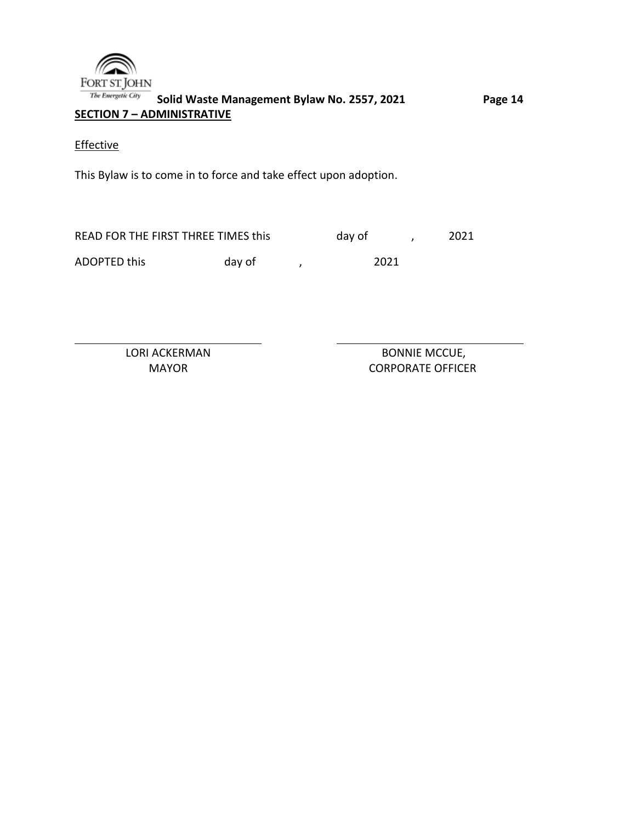

**Solid Waste Management Bylaw No. 2557, 2021 Page 14 SECTION 7 – ADMINISTRATIVE** 

**Effective** 

This Bylaw is to come in to force and take effect upon adoption.

READ FOR THE FIRST THREE TIMES this day of , 2021 ADOPTED this day of , 2021

LORI ACKERMAN BONNIE MCCUE, MAYOR CORPORATE OFFICER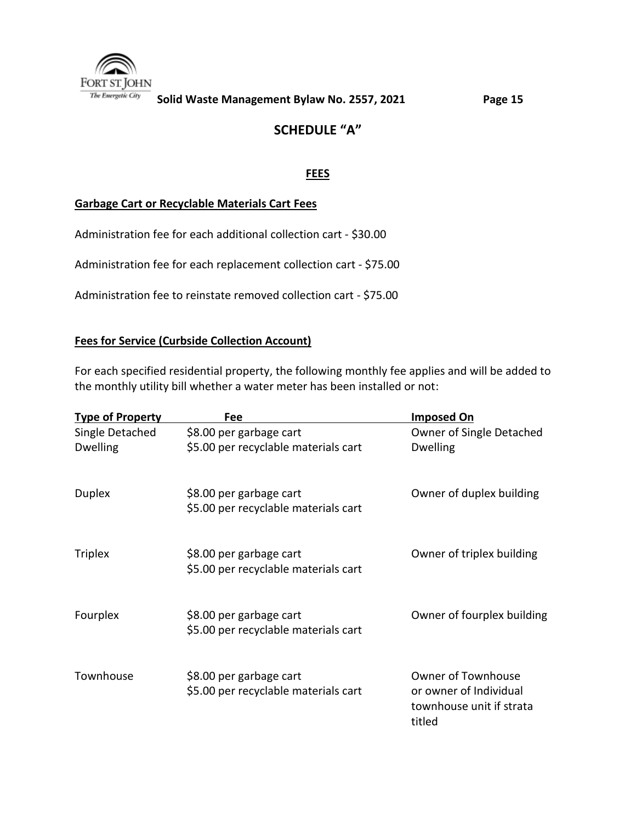

# **SCHEDULE "A"**

#### **FEES**

#### **Garbage Cart or Recyclable Materials Cart Fees**

Administration fee for each additional collection cart - \$30.00

Administration fee for each replacement collection cart - \$75.00

Administration fee to reinstate removed collection cart - \$75.00

#### **Fees for Service (Curbside Collection Account)**

For each specified residential property, the following monthly fee applies and will be added to the monthly utility bill whether a water meter has been installed or not:

| <b>Type of Property</b> | Fee                                                             | Imposed On                                                                                |
|-------------------------|-----------------------------------------------------------------|-------------------------------------------------------------------------------------------|
| Single Detached         | \$8.00 per garbage cart                                         | Owner of Single Detached                                                                  |
| <b>Dwelling</b>         | \$5.00 per recyclable materials cart                            | <b>Dwelling</b>                                                                           |
| Duplex                  | \$8.00 per garbage cart<br>\$5.00 per recyclable materials cart | Owner of duplex building                                                                  |
| <b>Triplex</b>          | \$8.00 per garbage cart<br>\$5.00 per recyclable materials cart | Owner of triplex building                                                                 |
| Fourplex                | \$8.00 per garbage cart<br>\$5.00 per recyclable materials cart | Owner of fourplex building                                                                |
| Townhouse               | \$8.00 per garbage cart<br>\$5.00 per recyclable materials cart | <b>Owner of Townhouse</b><br>or owner of Individual<br>townhouse unit if strata<br>titled |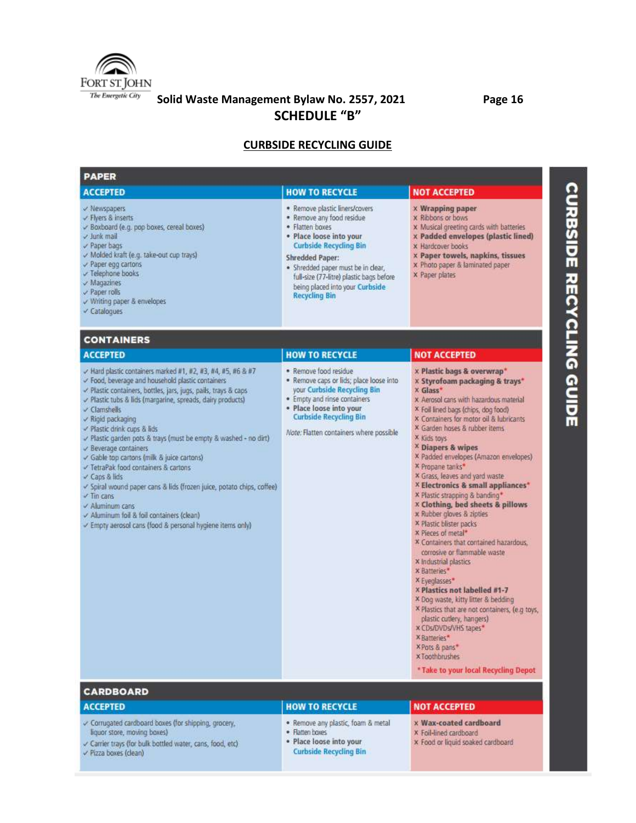

**Solid Waste Management Bylaw No. 2557, 2021 Page 16 SCHEDULE "B"**

# **CURBSIDE RECYCLING GUIDE**

| <b>PAPER</b>                                                                                                                                                                                                                                                                                                                                                                                                                                                                                                                                                                                                                                                                                                                                                              |                                                                                                                                                                                                                                                                                                                   |                                                                                                                                                                                                                                                                                                                                                                                                                                                                                                                                                                                                                                                                                                                                                                                                                                                                                                                                                                                                                |  |
|---------------------------------------------------------------------------------------------------------------------------------------------------------------------------------------------------------------------------------------------------------------------------------------------------------------------------------------------------------------------------------------------------------------------------------------------------------------------------------------------------------------------------------------------------------------------------------------------------------------------------------------------------------------------------------------------------------------------------------------------------------------------------|-------------------------------------------------------------------------------------------------------------------------------------------------------------------------------------------------------------------------------------------------------------------------------------------------------------------|----------------------------------------------------------------------------------------------------------------------------------------------------------------------------------------------------------------------------------------------------------------------------------------------------------------------------------------------------------------------------------------------------------------------------------------------------------------------------------------------------------------------------------------------------------------------------------------------------------------------------------------------------------------------------------------------------------------------------------------------------------------------------------------------------------------------------------------------------------------------------------------------------------------------------------------------------------------------------------------------------------------|--|
| <b>ACCEPTED</b>                                                                                                                                                                                                                                                                                                                                                                                                                                                                                                                                                                                                                                                                                                                                                           | <b>HOW TO RECYCLE</b>                                                                                                                                                                                                                                                                                             | <b>NOT ACCEPTED</b>                                                                                                                                                                                                                                                                                                                                                                                                                                                                                                                                                                                                                                                                                                                                                                                                                                                                                                                                                                                            |  |
| v Newspapers<br>√ Flyers & inserts<br>Boxboard (e.g. pop boxes, cereal boxes)<br>v Junk mail<br>Paper bags<br>V Molded kraft (e.g. take-out cup trays)<br>Paper egg cartons<br>v Telephone books<br>$\vee$ Magazines<br>$\vee$ Paper rolls<br>$\checkmark$ Writing paper & envelopes<br>$\checkmark$ Catalogues                                                                                                                                                                                                                                                                                                                                                                                                                                                           | · Remove plastic liners/covers<br>. Remove any food residue<br>· Flatten boxes<br>· Place loose into your<br><b>Curbside Recycling Bin</b><br><b>Shredded Paper:</b><br>· Shredded paper must be in clear,<br>full-size (77-litre) plastic bags before<br>being placed into your Curbside<br><b>Recycling Bin</b> | <b>X</b> Wrapping paper<br>x Ribbons or bows<br>x Musical greeting cards with batteries<br>x Padded envelopes (plastic lined)<br>x Hardcover books<br>x Paper towels, napkins, tissues<br>x Photo paper & laminated paper<br>x Paper plates                                                                                                                                                                                                                                                                                                                                                                                                                                                                                                                                                                                                                                                                                                                                                                    |  |
| <b>CONTAINERS</b>                                                                                                                                                                                                                                                                                                                                                                                                                                                                                                                                                                                                                                                                                                                                                         |                                                                                                                                                                                                                                                                                                                   |                                                                                                                                                                                                                                                                                                                                                                                                                                                                                                                                                                                                                                                                                                                                                                                                                                                                                                                                                                                                                |  |
| <b>ACCEPTED</b>                                                                                                                                                                                                                                                                                                                                                                                                                                                                                                                                                                                                                                                                                                                                                           | <b>HOW TO RECYCLE</b>                                                                                                                                                                                                                                                                                             | <b>NOT ACCEPTED</b>                                                                                                                                                                                                                                                                                                                                                                                                                                                                                                                                                                                                                                                                                                                                                                                                                                                                                                                                                                                            |  |
| $\vee$ Hard plastic containers marked #1, #2, #3, #4, #5, #6 & #7<br>V Food, beverage and household plastic containers<br>Plastic containers, bottles, jars, jugs, pails, trays & caps<br>Plastic tubs & lids (margarine, spreads, dairy products)<br>$\vee$ Clarnshells<br>$\times$ Rigid packaging<br>Plastic drink cups & lids<br>Plastic garden pots & trays (must be empty & washed - no dirt)<br>$\vee$ Beverage containers<br>Gable top cartons (milk & juice cartons)<br>TetraPak food containers & cartons<br>Caps & lids<br>y Spiral wound paper cans & lids (frozen juice, potato chips, coffee)<br>$\vee$ Tin cans<br>$\vee$ Aluminum cans<br>$\checkmark$ Aluminum foil & foil containers (clean)<br>Empty aerosol cans (food & personal hygiene items only) | . Remove food residue<br>. Remove caps or lids; place loose into<br>your Curbside Recycling Bin<br>· Empty and rinse containers<br>· Place loose into your<br><b>Curbside Recycling Bin</b><br>Note: Flatten containers where possible                                                                            | x Plastic bags & overwrap*<br>x Styrofoam packaging & trays*<br>x Glass*<br>x Aerosol cans with hazardous material<br>X Foil lined bags (chips, dog food)<br>X Containers for motor oil & lubricants<br>X Garden hoses & rubber items<br>x Kids toys<br><sup>X</sup> Diapers & wipes<br>X Padded envelopes (Amazon envelopes)<br>X Propane tanks*<br>X Grass, leaves and yard waste.<br>X Electronics & small appliances"<br>X Plastic strapping & banding*<br><b>x Clothing, bed sheets &amp; pillows</b><br>x Rubber gloves & zipties<br>x Plastic blister packs<br>x Pieces of metal*<br>X Containers that contained hazardous,<br>corrosive or flammable waste<br>X industrial plastics<br>x Batteries*<br>× Eyeglasses*<br>X Plastics not labelled #1-7<br>× Dog waste, kitty litter & bedding<br>X Plastics that are not containers, (e.g toys,<br>plastic cuttery, hangers)<br>x CDs/DVDs/VHS tapes*<br>× Batteries*<br>X Pots & pans*<br><b>x Toothbrushes</b><br>* Take to your local Recycling Depot |  |
| <b>CARDBOARD</b>                                                                                                                                                                                                                                                                                                                                                                                                                                                                                                                                                                                                                                                                                                                                                          |                                                                                                                                                                                                                                                                                                                   |                                                                                                                                                                                                                                                                                                                                                                                                                                                                                                                                                                                                                                                                                                                                                                                                                                                                                                                                                                                                                |  |
| <b>ACCEPTED</b>                                                                                                                                                                                                                                                                                                                                                                                                                                                                                                                                                                                                                                                                                                                                                           | <b>HOW TO RECYCLE</b>                                                                                                                                                                                                                                                                                             | <b>NOT ACCEPTED</b>                                                                                                                                                                                                                                                                                                                                                                                                                                                                                                                                                                                                                                                                                                                                                                                                                                                                                                                                                                                            |  |
| Corrugated cardboard boxes (for shipping, grocery,<br>liquor store, moving boxes)<br>carrier trays (for bulk bottled water, cans, food, etc)<br>Pizza boxes (clean)                                                                                                                                                                                                                                                                                                                                                                                                                                                                                                                                                                                                       | · Remove any plastic, foam & metal<br>· Flatten boxes<br>· Place loose into your<br><b>Curbside Recycling Bin</b>                                                                                                                                                                                                 | x Wax-coated cardboard<br>X Foil-lined cardboard<br>x Food or liquid soaked cardboard                                                                                                                                                                                                                                                                                                                                                                                                                                                                                                                                                                                                                                                                                                                                                                                                                                                                                                                          |  |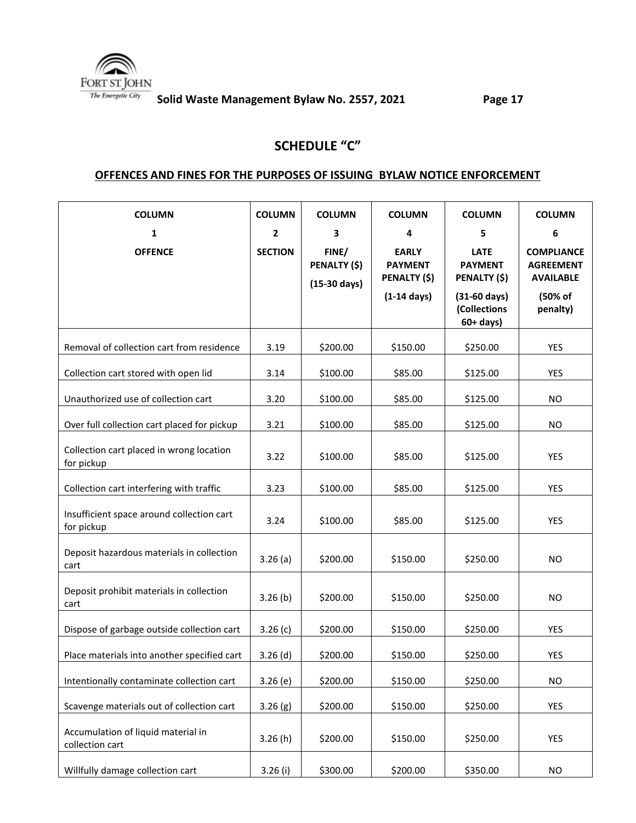

# **SCHEDULE "C"**

#### **OFFENCES AND FINES FOR THE PURPOSES OF ISSUING BYLAW NOTICE ENFORCEMENT**

| <b>COLUMN</b>                                           | <b>COLUMN</b>  | <b>COLUMN</b>                                   | <b>COLUMN</b>                                                           | <b>COLUMN</b>                                                           | <b>COLUMN</b>                                                        |
|---------------------------------------------------------|----------------|-------------------------------------------------|-------------------------------------------------------------------------|-------------------------------------------------------------------------|----------------------------------------------------------------------|
| 1                                                       | $\mathbf{2}$   | 3                                               | 4                                                                       | 5                                                                       | 6                                                                    |
| <b>OFFENCE</b>                                          | <b>SECTION</b> | FINE/<br>PENALTY (\$)<br>$(15-30 \text{ days})$ | <b>EARLY</b><br><b>PAYMENT</b><br>PENALTY (\$)<br>$(1-14 \text{ days})$ | <b>LATE</b><br><b>PAYMENT</b><br>PENALTY (\$)<br>$(31-60 \text{ days})$ | <b>COMPLIANCE</b><br><b>AGREEMENT</b><br><b>AVAILABLE</b><br>(50% of |
|                                                         |                |                                                 |                                                                         | (Collections<br>$60+ days$ )                                            | penalty)                                                             |
| Removal of collection cart from residence               | 3.19           | \$200.00                                        | \$150.00                                                                | \$250.00                                                                | YES                                                                  |
| Collection cart stored with open lid                    | 3.14           | \$100.00                                        | \$85.00                                                                 | \$125.00                                                                | <b>YES</b>                                                           |
| Unauthorized use of collection cart                     | 3.20           | \$100.00                                        | \$85.00                                                                 | \$125.00                                                                | <b>NO</b>                                                            |
| Over full collection cart placed for pickup             | 3.21           | \$100.00                                        | \$85.00                                                                 | \$125.00                                                                | <b>NO</b>                                                            |
| Collection cart placed in wrong location<br>for pickup  | 3.22           | \$100.00                                        | \$85.00                                                                 | \$125.00                                                                | YES                                                                  |
| Collection cart interfering with traffic                | 3.23           | \$100.00                                        | \$85.00                                                                 | \$125.00                                                                | <b>YES</b>                                                           |
| Insufficient space around collection cart<br>for pickup | 3.24           | \$100.00                                        | \$85.00                                                                 | \$125.00                                                                | YES                                                                  |
| Deposit hazardous materials in collection<br>cart       | 3.26(a)        | \$200.00                                        | \$150.00                                                                | \$250.00                                                                | <b>NO</b>                                                            |
| Deposit prohibit materials in collection<br>cart        | 3.26(b)        | \$200.00                                        | \$150.00                                                                | \$250.00                                                                | <b>NO</b>                                                            |
| Dispose of garbage outside collection cart              | 3.26(c)        | \$200.00                                        | \$150.00                                                                | \$250.00                                                                | YES                                                                  |
| Place materials into another specified cart             | $3.26$ (d)     | \$200.00                                        | \$150.00                                                                | \$250.00                                                                | YES                                                                  |
| Intentionally contaminate collection cart               | 3.26(e)        | \$200.00                                        | \$150.00                                                                | \$250.00                                                                | <b>NO</b>                                                            |
| Scavenge materials out of collection cart               | 3.26(g)        | \$200.00                                        | \$150.00                                                                | \$250.00                                                                | <b>YES</b>                                                           |
| Accumulation of liquid material in<br>collection cart   | 3.26(h)        | \$200.00                                        | \$150.00                                                                | \$250.00                                                                | YES                                                                  |
| Willfully damage collection cart                        | $3.26$ (i)     | \$300.00                                        | \$200.00                                                                | \$350.00                                                                | <b>NO</b>                                                            |